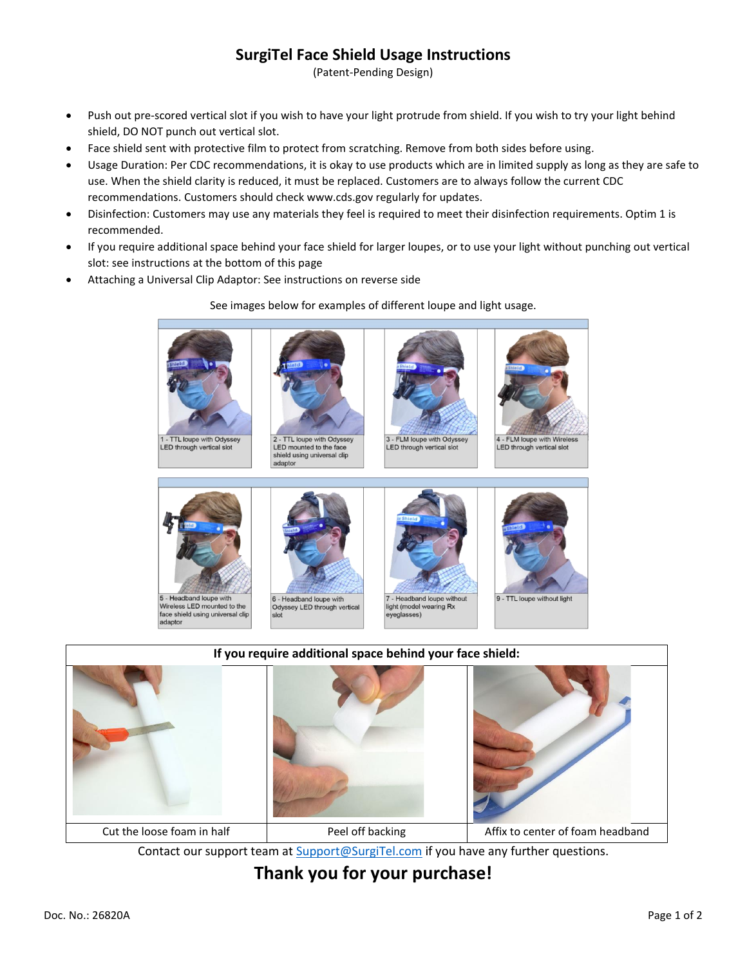## **SurgiTel Face Shield Usage Instructions**

(Patent-Pending Design)

- Push out pre-scored vertical slot if you wish to have your light protrude from shield. If you wish to try your light behind shield, DO NOT punch out vertical slot.
- Face shield sent with protective film to protect from scratching. Remove from both sides before using.
- Usage Duration: Per CDC recommendations, it is okay to use products which are in limited supply as long as they are safe to use. When the shield clarity is reduced, it must be replaced. Customers are to always follow the current CDC recommendations. Customers should check www.cds.gov regularly for updates.
- Disinfection: Customers may use any materials they feel is required to meet their disinfection requirements. Optim 1 is recommended.
- If you require additional space behind your face shield for larger loupes, or to use your light without punching out vertical slot: see instructions at the bottom of this page
- Attaching a Universal Clip Adaptor: See instructions on reverse side

See images below for examples of different loupe and light usage.



1 - TTL loupe with Odyssey LED through vertical slot









4 - FLM loupe with Wirele LED through vertical slot



5 - Headband loupe with Wireless LED mounted to the face shield using universal clip<br>adaptor

6 - Headband loupe with Odyssey LED through vertical





**If you require additional space behind your face shield:** Cut the loose foam in half Peel off backing Feel off backing Affix to center of foam headband

Contact our support team at [Support@SurgiTel.com](mailto:Support@SurgiTel.com) if you have any further questions.

**Thank you for your purchase!**